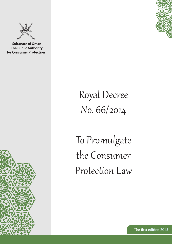

**Sultanate of Oman** The Public Authority for Consumer Protection





## Royal Decree No. 66/2014

To Promulgate the Consumer Protection Law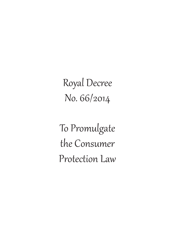Royal Decree No. 66/2014

To Promulgate the Consumer Protection Law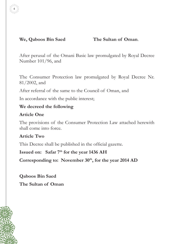#### **We, Qaboos Bin Saed The Sultan of Oman**.

4

After perusal of the Omani Basic law promulgated by Royal Decree Number 101/96, and

The Consumer Protection law promulgated by Royal Decree Nr. 81/2002, and

After referral of the same to the Council of Oman, and

In accordance with the public interest;

#### **We decreed the following**

#### **Article One**

The provisions of the Consumer Protection Law attached herewith shall come into force.

#### **Article Two**

This Decree shall be published in the official gazette.

Issued on: Safar 7<sup>th</sup> for the year 1436 AH

Corresponding to: November 30<sup>th</sup>, for the year 2014 AD

**Qaboos Bin Saed The Sultan of Oman**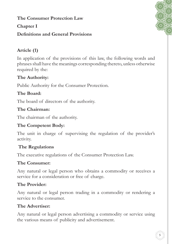**The Consumer Protection Law**

#### **Chapter I**

#### **Definitions and General Provisions**

### **Article (1)**

In application of the provisions of this law, the following words and phrases shall have the meanings corresponding thereto, unless otherwise required by the:

#### **The Authority:**

Public Authority for the Consumer Protection.

#### **The Board:**

The board of directors of the authority.

#### **The Chairman:**

The chairman of the authority.

#### **The Competent Body:**

The unit in charge of supervising the regulation of the provider's activity.

#### **The Regulations**

The executive regulations of the Consumer Protection Law.

#### **The Consumer:**

Any natural or legal person who obtains a commodity or receives a service for a consideration or free of charge.

#### **The Provider:**

Any natural or legal person trading in a commodity or rendering a service to the consumer.

#### **The Advertiser:**

Any natural or legal person advertising a commodity or service using the various means of publicity and advertisement.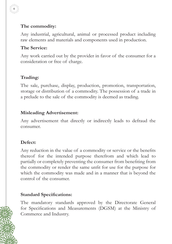#### **The commodity:**

Any industrial, agricultural, animal or processed product including raw elements and materials and components used in production.

#### **The Service:**

6

Any work carried out by the provider in favor of the consumer for a consideration or free of charge.

#### **Trading:**

The sale, purchase, display, production, promotion, transportation, storage or distribution of a commodity. The possession of a trade in a prelude to the sale of the commodity is deemed as trading.

#### **Misleading Advertisement:**

Any advertisement that directly or indirectly leads to defraud the consumer.

#### **Defect:**

Any reduction in the value of a commodity or service or the benefits thereof for the intended purpose therefrom and which lead to partially or completely preventing the consumer from benefiting from the commodity or render the same unfit for use for the purpose for which the commodity was made and in a manner that is beyond the control of the consumer.

#### **Standard Specifications:**

The mandatory standards approved by the Directorate General for Specifications and Measurements (DGSM) at the Ministry of Commerce and Industry.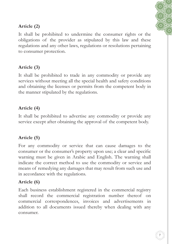7

#### **Article (2)**

It shall be prohibited to undermine the consumer rights or the obligations of the provider as stipulated by this law and these regulations and any other laws, regulations or resolutions pertaining to consumer protection.

#### **Article (3)**

It shall be prohibited to trade in any commodity or provide any services without meeting all the special health and safety conditions and obtaining the licenses or permits from the competent body in the manner stipulated by the regulations.

#### **Article (4)**

It shall be prohibited to advertise any commodity or provide any service except after obtaining the approval of the competent body.

#### **Article (5)**

For any commodity or service that can cause damages to the consumer or the consumer's property upon use; a clear and specific warning must be given in Arabic and English. The warning shall indicate the correct method to use the commodity or service and means of remedying any damages that may result from such use and in accordance with the regulations.

#### **Article (6)**

Each business establishment registered in the commercial registry shall record the commercial registration number thereof on commercial correspondences, invoices and advertisements in addition to all documents issued thereby when dealing with any consumer.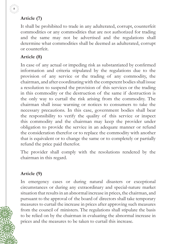#### **Article (7)**

8

It shall be prohibited to trade in any adulterated, corrupt, counterfeit commodities or any commodities that are not authorized for trading and the same may not be advertised and the regulations shall determine what commodities shall be deemed as adulterated, corrupt or counterfeit.

#### **Article (8)**

In case of any actual or impeding risk as substantiated by confirmed information and criteria stipulated by the regulations due to the provision of any service or the trading of any commodity, the chairman, and after coordinating with the competent bodies shall issue a resolution to suspend the provision of this services or the trading in this commodity or the destruction of the same if destruction is the only way to curtail the risk arising from the commodity. The chairman shall issue warning or notices to consumers to take the necessary precautions. In this case, government bodies shall bear the responsibility to verify the quality of this service or inspect this commodity and the chairman may keep the provider under obligation to provide the service in an adequate manner or refund the consideration therefor or to replace the commodity with another that is equivalent or to change the same or to completely or partially refund the price paid therefor.

The provider shall comply with the resolutions rendered by the chairman in this regard.

#### **Article (9)**

In emergency cases or during natural disasters or exceptional circumstances or during any extraordinary and special-nature market situation that results in an abnormal increase in prices, the chairman, and pursuant to the approval of the board of directors shall take temporary measures to curtail the increase in prices after approving such measures from the council of ministers. The regulations shall stipulate the basis to be relied on by the chairman in evaluating the abnormal increase in prices and the measures to be taken to curtail this increase.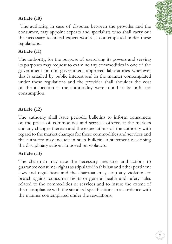#### **Article (10)**

The authority, in case of disputes between the provider and the consumer, may appoint experts and specialists who shall carry out the necessary technical expert works as contemplated under these regulations.

#### **Article (11)**

The authority, for the purpose of exercising its powers and serving its purposes may request to examine any commodities in one of the government or non-government approved laboratories whenever this is entailed by public interest and in the manner contemplated under these regulations and the provider shall shoulder the cost of the inspection if the commodity were found to be unfit for consumption.

#### **Article (12)**

The authority shall issue periodic bulletins to inform consumers of the prices of commodities and services offered at the markets and any changes thereon and the expectations of the authority with regard to the market changes for these commodities and services and the authority may include in such bulletins a statement describing the disciplinary actions imposed on violators.

#### **Article (13)**

The chairman may take the necessary measures and actions to guarantee consumerrights asstipulated in thislawand other pertinent laws and regulations and the chairman may stop any violation or breach against consumer rights or general health and safety rules related to the commodities or services and to insure the extent of their compliance with the standard specifications in accordance with the manner contemplated under the regulations.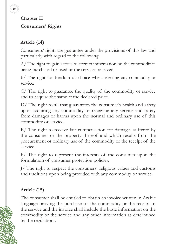

**Chapter II Consumers' Rights**

### **Article (14)**

Consumers' rights are guarantee under the provisions of this law and particularly with regard to the following:

A/ The right to gain access to correct information on the commodities being purchased or used or the services received.

B/ The right for freedom of choice when selecting any commodity or service.

C/ The right to guarantee the quality of the commodity or service and to acquire the same at the declared price.

D/ The right to all that guarantees the consumer's health and safety upon acquiring any commodity or receiving any service and safety from damages or harms upon the normal and ordinary use of this commodity or service.

E/ The right to receive fair compensation for damages suffered by the consumer or the property thereof and which results from the procurement or ordinary use of the commodity or the receipt of the service.

F/ The right to represent the interests of the consumer upon the formulation of consumer protection policies.

J/ The right to respect the consumers' religious values and customs and traditions upon being provided with any commodity or service.

#### **Article (15)**

The consumer shall be entitled to obtain an invoice written in Arabic language proving the purchase of the commodity or the receipt of the service and the invoice shall include the basic information on the commodity or the service and any other information as determined by the regulations.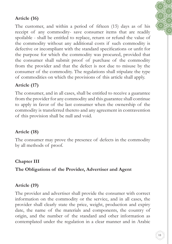#### **Article (16)**

The customer, and within a period of fifteen (15) days as of his receipt of any commodity- save consumer items that are readily spoilable - shall be entitled to replace, return or refund the value of the commodity without any additional costs if such commodity is defective or incompliant with the standard specifications or unfit for the purpose for which the commodity was procured, provided that the consumer shall submit proof of purchase of the commodity from the provider and that the defect is not due to misuse by the consumer of the commodity. The regulations shall stipulate the type of commodities on which the provisions of this article shall apply.

#### **Article (17)**

The consumer, and in all cases, shall be entitled to receive a guarantee from the provider for any commodity and this guarantee shall continue to apply in favor of the last consumer when the ownership of the commodity is transferred thereto and any agreement in contravention of this provision shall be null and void.

#### **Article (18)**

The consumer may prove the presence of defects in the commodity by all methods of proof.

#### **Chapter III**

**The Obligations of the Provider, Advertiser and Agent**

#### **Article (19)**

The provider and advertiser shall provide the consumer with correct information on the commodity or the service, and in all cases, the provider shall clearly state the price, weight, production and expiry date, the name of the materials and components, the country of origin, and the number of the standard and other information as contemplated under the regulation in a clear manner and in Arabic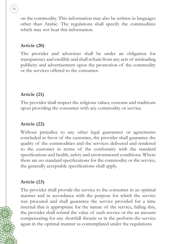

on the commodity. This information may also be written in languages other than Arabic. The regulations shall specify the commodities which may not bear this information.

#### **Article (20)**

The provider and advertiser shall be under an obligation for transparency and credibly and shall refrain from any acts of misleading publicity and advertisement upon the promotion of the commodity or the services offered to the consumer.

#### **Article (21)**

The provider shall respect the religious values, customs and traditions upon providing the consumer with any commodity or service.

#### **Article (22)**

Without prejudice to any other legal guarantees or agreements concluded in favor of the customer, the provider shall guarantee the quality of the commodities and the services delivered and rendered to the customer in terms of the conformity with the standard specifications and health, safety and environmental conditions. Where there are no standard specifications for the commodity or the service, the generally acceptable specifications shall apply.

#### **Article (23)**

The provider shall provide the service to the consumer in an optimal manner and in accordance with the purpose for which the service was procured and shall guarantee the service provided for a time internal that is appropriate for the nature of the service, failing this, the provider shall refund the value of such service or the an amount compensating for any shortfall therein or in the perform the service again in the optimal manner as contemplated under the regulations.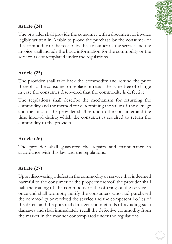#### **Article (24)**

The provider shall provide the consumer with a document or invoice legibly written in Arabic to prove the purchase by the consumer of the commodity or the receipt by the consumer of the service and the invoice shall include the basic information for the commodity or the service as contemplated under the regulations.

#### **Article (25)**

The provider shall take back the commodity and refund the price thereof to the consumer or replace or repair the same free of charge in case the consumer discovered that the commodity is defective.

The regulations shall describe the mechanism for returning the commodity and the method for determining the value of the damage and the amount the provider shall refund to the consumer and the time interval during which the consumer is required to return the commodity to the provider.

#### **Article (26)**

The provider shall guarantee the repairs and maintenance in accordance with this law and the regulations.

#### **Article (27)**

Upon discovering a defect in the commodity or service that is deemed harmful to the consumer or the property thereof, the provider shall halt the trading of the commodity or the offering of the service at once and shall promptly notify the consumers who had purchased the commodity or received the service and the competent bodies of the defect and the potential damages and methods of avoiding such damages and shall immediately recall the defective commodity from the market in the manner contemplated under the regulations.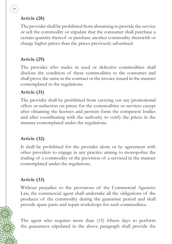#### **Article (28)**

14

The provider shall be prohibited from abstaining to provide the service or sell the commodity or stipulate that the consumer shall purchase a certain quantity thereof or purchase another commodity therewith or charge higher prices than the prices previously advertised.

#### **Article (29)**

The provider who trades in used or defective commodities shall disclose the condition of these commodities to the consumer and shall prove the same in the contract or the invoice issued in the manner contemplated in the regulations.

#### **Article (31)**

The provider shall be prohibited from carrying out any promotional offers or reduction on prices for the commodities or services except after obtaining the licenses and permits form the competent bodies and after coordinating with the authority to verify the prices in the manner contemplated under the regulations.

#### **Article (32)**

It shall be prohibited for the provider alone or by agreement with other providers to engage in any practice aiming to monopolize the trading of a commodity or the provision of a serviced in the manner contemplated under the regulations.

#### **Article (33)**

Without prejudice to the provisions of the Commercial Agencies Law, the commercial agent shall undertake all the obligations of the producer of the commodity during the guarantee period and shall provide spare parts and repair workshops for such commodities.

The agent who requires more than (15) fifteen days to perform the guarantees stipulated in the above paragraph shall provide the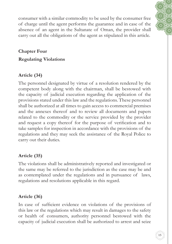consumer with a similar commodity to be used by the consumer free of charge until the agent performs the guarantee and in case of the absence of an agent in the Sultanate of Oman, the provider shall carry out all the obligations of the agent as stipulated in this article.

#### **Chapter Four**

#### **Regulating Violations**

#### **Article (34)**

The personnel designated by virtue of a resolution rendered by the competent body along with the chairman, shall be bestowed with the capacity of judicial execution regarding the application of the provisions stated under this law and the regulations. These personnel shall be authorized at all times to gain access to commercial premises and the annexes thereof and to review all documents and papers related to the commodity or the service provided by the provider and request a copy thereof for the purpose of verification and to take samples for inspection in accordance with the provisions of the regulations and they may seek the assistance of the Royal Police to carry out their duties.

#### **Article (35)**

The violations shall be administratively reported and investigated or the same may be referred to the jurisdiction as the case may be and as contemplated under the regulations and in pursuance of laws, regulations and resolutions applicable in this regard.

#### **Article (36)**

In case of sufficient evidence on violations of the provisions of this law or the regulations which may result in damages to the safety or health of consumers, authority personnel bestowed with the capacity of judicial execution shall be authorized to arrest and seize

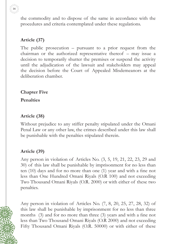16

the commodity and to dispose of the same in accordance with the procedures and criteria contemplated under these regulations.

#### **Article (37)**

The public prosecution – pursuant to a prior request from the chairman or the authorized representative thereof – may issue a decision to temporarily shutter the premises or suspend the activity until the adjudication of the lawsuit and stakeholders may appeal the decision before the Court of Appealed Misdemeanors at the deliberation chamber.

**Chapter Five**

**Penalties**

#### **Article (38)**

Without prejudice to any stiffer penalty stipulated under the Omani Penal Law or any other law, the crimes described under this law shall be punishable with the penalties stipulated therein.

#### **Article (39)**

Any person in violation of Articles No. (3, 5, 19, 21, 22, 23, 29 and 30) of this law shall be punishable by imprisonment for no less than ten (10) days and for no more than one (1) year and with a fine not less than One Hundred Omani Riyals (O.R 100) and not exceeding Two Thousand Omani Riyals (O.R. 2000) or with either of these two penalties.

Any person in violation of Articles No. (7, 8, 20, 25, 27, 28, 32) of this law shall be punishable by imprisonment for no less than three months (3) and for no more than three (3) years and with a fine not less than Two Thousand Omani Riyals (O.R 2000) and not exceeding Fifty Thousand Omani Riyals (O.R. 50000) or with either of these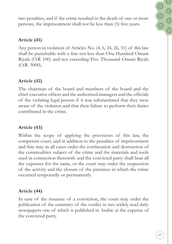two penalties, and if the crime resulted in the death of one or more persons, the imprisonment shall not be less than (5) five years.

#### **Article (41)**

Any person in violation of Articles No. (4, 6, 24, 26, 31) of this law shall be punishable with a fine not less than One Hundred Omani Riyals (O.R 100) and not exceeding Five Thousand Omani Riyals (O.R. 5000).

#### **Article (42)**

The chairman of the board and members of the board and the chief executive officer and the authorized managers and the officials of the violating legal person if it was substantiated that they were aware of the violation and that their failure to perform their duties contributed in the crime.

#### **Article (43)**

Within the scope of applying the provisions of this law, the competent court, and in addition to the penalties of imprisonment and fine may in all cases order the confiscation and destruction of the commodities subject of the crime and the materials and tools used in connection therewith and the convicted party shall bear all the expenses for the same, or the court may order the suspension of the activity and the closure of the premises in which the crime occurred temporarily or permanently.

#### **Article (44)**

In case of the issuance of a conviction, the court may order the publication of the summary of the verdict in two widely read daily newspapers one of which is published in Arabic at the expense of the convicted party.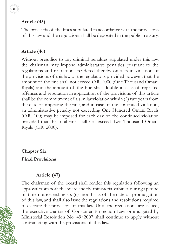#### **Article (45)**

18

The proceeds of the fines stipulated in accordance with the provisions of this law and the regulations shall be deposited in the public treasury.

#### **Article (46)**

Without prejudice to any criminal penalties stipulated under this law, the chairman may impose administrative penalties pursuant to the regulations and resolutions rendered thereby on acts in violation of the provisions of this law or the regulations provided however, that the amount of the fine shall not exceed O.R. 1000 (One Thousand Omani Riyals) and the amount of the fine shall double in case of repeated offenses and reputation in application of the provisions of this article shall be the commitment of a similar violation within (2) two years from the date of imposing the fine, and in case of the continued violation, an administrative penalty not exceeding One Hundred Omani Riyals (O.R. 100) may be imposed for each day of the continued violation provided that the total fine shall not exceed Two Thousand Omani Riyals (O.R. 2000).

**Chapter Six**

**Final Provisions**

#### **Article (47)**

The chairman of the board shall render this regulation following an approval from both the board and the ministerial cabinet, during a period of time not exceeding six (6) months as of the date of promulgation of this law, and shall also issue the regulations and resolutions required to execute the provision of this law. Until the regulations are issued, the executive charter of Consumer Protection Law promulgated by Ministerial Resolution No. 49/2007 shall continue to apply without contradicting with the provisions of this law.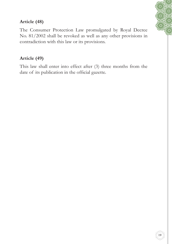#### **Article (48)**

The Consumer Protection Law promulgated by Royal Decree No. 81/2002 shall be revoked as well as any other provisions in contradiction with this law or its provisions.

#### **Article (49)**

This law shall enter into effect after (3) three months from the date of its publication in the official gazette.